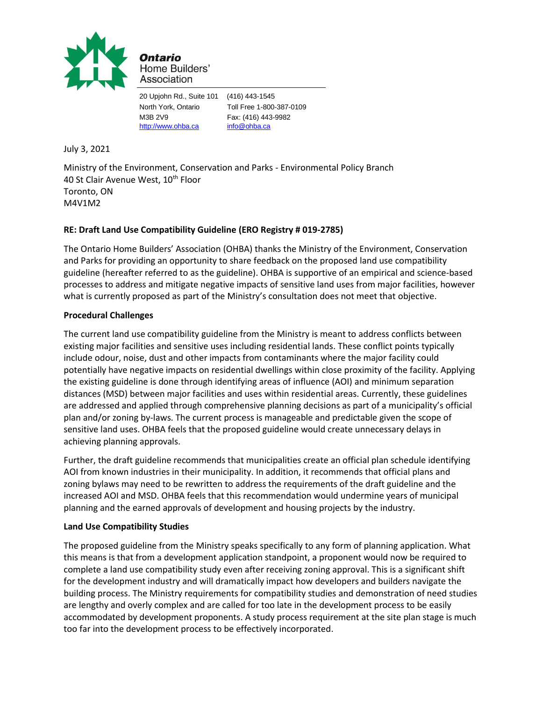

Ontario Home Builders' Association

20 Upjohn Rd., Suite 101 (416) 443-1545 North York, Ontario Toll Free 1-800-387-0109 M3B 2V9 Fax: (416) 443-9982 [http://www.ohba.ca](http://www.ohba.ca/) [info@ohba.ca](mailto:info@ohba.ca)

July 3, 2021

Ministry of the Environment, Conservation and Parks - Environmental Policy Branch 40 St Clair Avenue West, 10<sup>th</sup> Floor Toronto, ON M4V1M2

# **RE: Draft Land Use Compatibility Guideline (ERO Registry # 019-2785)**

The Ontario Home Builders' Association (OHBA) thanks the Ministry of the Environment, Conservation and Parks for providing an opportunity to share feedback on the proposed land use compatibility guideline (hereafter referred to as the guideline). OHBA is supportive of an empirical and science-based processes to address and mitigate negative impacts of sensitive land uses from major facilities, however what is currently proposed as part of the Ministry's consultation does not meet that objective.

## **Procedural Challenges**

The current land use compatibility guideline from the Ministry is meant to address conflicts between existing major facilities and sensitive uses including residential lands. These conflict points typically include odour, noise, dust and other impacts from contaminants where the major facility could potentially have negative impacts on residential dwellings within close proximity of the facility. Applying the existing guideline is done through identifying areas of influence (AOI) and minimum separation distances (MSD) between major facilities and uses within residential areas. Currently, these guidelines are addressed and applied through comprehensive planning decisions as part of a municipality's official plan and/or zoning by-laws. The current process is manageable and predictable given the scope of sensitive land uses. OHBA feels that the proposed guideline would create unnecessary delays in achieving planning approvals.

Further, the draft guideline recommends that municipalities create an official plan schedule identifying AOI from known industries in their municipality. In addition, it recommends that official plans and zoning bylaws may need to be rewritten to address the requirements of the draft guideline and the increased AOI and MSD. OHBA feels that this recommendation would undermine years of municipal planning and the earned approvals of development and housing projects by the industry.

## **Land Use Compatibility Studies**

The proposed guideline from the Ministry speaks specifically to any form of planning application. What this means is that from a development application standpoint, a proponent would now be required to complete a land use compatibility study even after receiving zoning approval. This is a significant shift for the development industry and will dramatically impact how developers and builders navigate the building process. The Ministry requirements for compatibility studies and demonstration of need studies are lengthy and overly complex and are called for too late in the development process to be easily accommodated by development proponents. A study process requirement at the site plan stage is much too far into the development process to be effectively incorporated.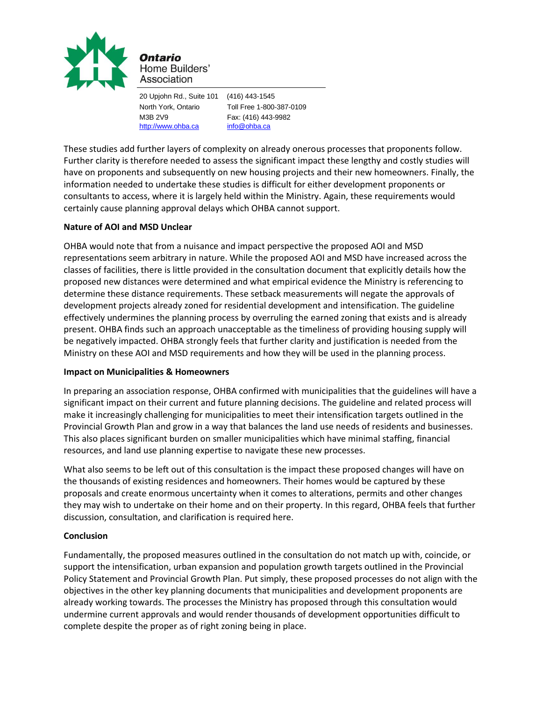

Home Builders' Association

20 Upjohn Rd., Suite 101 (416) 443-1545 North York, Ontario Toll Free 1-800-387-0109 M3B 2V9 Fax: (416) 443-9982 [http://www.ohba.ca](http://www.ohba.ca/) [info@ohba.ca](mailto:info@ohba.ca)

These studies add further layers of complexity on already onerous processes that proponents follow. Further clarity is therefore needed to assess the significant impact these lengthy and costly studies will have on proponents and subsequently on new housing projects and their new homeowners. Finally, the information needed to undertake these studies is difficult for either development proponents or consultants to access, where it is largely held within the Ministry. Again, these requirements would certainly cause planning approval delays which OHBA cannot support.

## **Nature of AOI and MSD Unclear**

OHBA would note that from a nuisance and impact perspective the proposed AOI and MSD representations seem arbitrary in nature. While the proposed AOI and MSD have increased across the classes of facilities, there is little provided in the consultation document that explicitly details how the proposed new distances were determined and what empirical evidence the Ministry is referencing to determine these distance requirements. These setback measurements will negate the approvals of development projects already zoned for residential development and intensification. The guideline effectively undermines the planning process by overruling the earned zoning that exists and is already present. OHBA finds such an approach unacceptable as the timeliness of providing housing supply will be negatively impacted. OHBA strongly feels that further clarity and justification is needed from the Ministry on these AOI and MSD requirements and how they will be used in the planning process.

## **Impact on Municipalities & Homeowners**

In preparing an association response, OHBA confirmed with municipalities that the guidelines will have a significant impact on their current and future planning decisions. The guideline and related process will make it increasingly challenging for municipalities to meet their intensification targets outlined in the Provincial Growth Plan and grow in a way that balances the land use needs of residents and businesses. This also places significant burden on smaller municipalities which have minimal staffing, financial resources, and land use planning expertise to navigate these new processes.

What also seems to be left out of this consultation is the impact these proposed changes will have on the thousands of existing residences and homeowners. Their homes would be captured by these proposals and create enormous uncertainty when it comes to alterations, permits and other changes they may wish to undertake on their home and on their property. In this regard, OHBA feels that further discussion, consultation, and clarification is required here.

## **Conclusion**

Fundamentally, the proposed measures outlined in the consultation do not match up with, coincide, or support the intensification, urban expansion and population growth targets outlined in the Provincial Policy Statement and Provincial Growth Plan. Put simply, these proposed processes do not align with the objectives in the other key planning documents that municipalities and development proponents are already working towards. The processes the Ministry has proposed through this consultation would undermine current approvals and would render thousands of development opportunities difficult to complete despite the proper as of right zoning being in place.